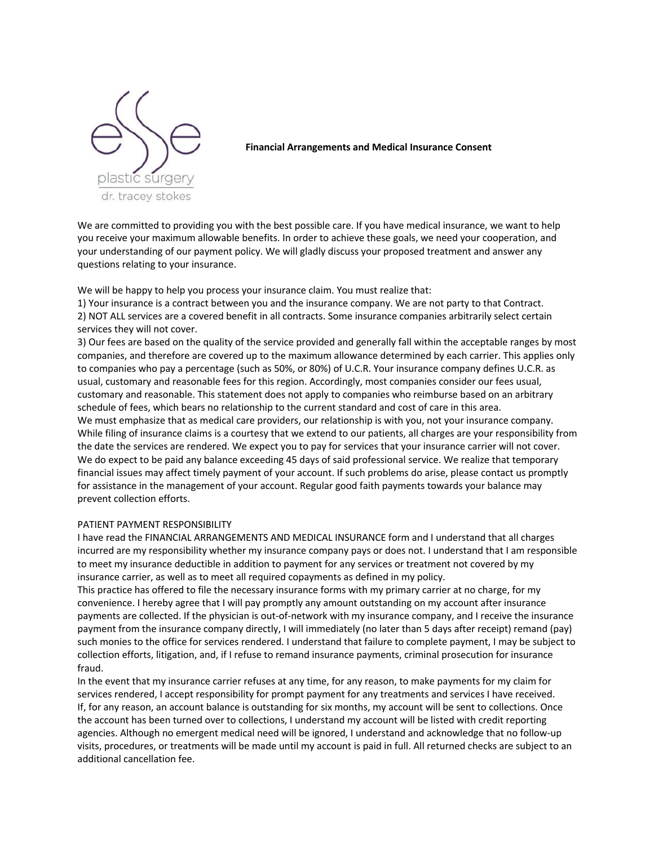

**Financial Arrangements and Medical Insurance Consent** 

We are committed to providing you with the best possible care. If you have medical insurance, we want to help you receive your maximum allowable benefits. In order to achieve these goals, we need your cooperation, and your understanding of our payment policy. We will gladly discuss your proposed treatment and answer any questions relating to your insurance.

We will be happy to help you process your insurance claim. You must realize that:

1) Your insurance is a contract between you and the insurance company. We are not party to that Contract. 2) NOT ALL services are a covered benefit in all contracts. Some insurance companies arbitrarily select certain services they will not cover.

3) Our fees are based on the quality of the service provided and generally fall within the acceptable ranges by most companies, and therefore are covered up to the maximum allowance determined by each carrier. This applies only to companies who pay a percentage (such as 50%, or 80%) of U.C.R. Your insurance company defines U.C.R. as usual, customary and reasonable fees for this region. Accordingly, most companies consider our fees usual, customary and reasonable. This statement does not apply to companies who reimburse based on an arbitrary schedule of fees, which bears no relationship to the current standard and cost of care in this area. We must emphasize that as medical care providers, our relationship is with you, not your insurance company. While filing of insurance claims is a courtesy that we extend to our patients, all charges are your responsibility from the date the services are rendered. We expect you to pay for services that your insurance carrier will not cover. We do expect to be paid any balance exceeding 45 days of said professional service. We realize that temporary financial issues may affect timely payment of your account. If such problems do arise, please contact us promptly for assistance in the management of your account. Regular good faith payments towards your balance may prevent collection efforts.

## PATIENT PAYMENT RESPONSIBILITY

I have read the FINANCIAL ARRANGEMENTS AND MEDICAL INSURANCE form and I understand that all charges incurred are my responsibility whether my insurance company pays or does not. I understand that I am responsible to meet my insurance deductible in addition to payment for any services or treatment not covered by my insurance carrier, as well as to meet all required copayments as defined in my policy.

This practice has offered to file the necessary insurance forms with my primary carrier at no charge, for my convenience. I hereby agree that I will pay promptly any amount outstanding on my account after insurance payments are collected. If the physician is out-of-network with my insurance company, and I receive the insurance payment from the insurance company directly, I will immediately (no later than 5 days after receipt) remand (pay) such monies to the office for services rendered. I understand that failure to complete payment, I may be subject to collection efforts, litigation, and, if I refuse to remand insurance payments, criminal prosecution for insurance fraud.

In the event that my insurance carrier refuses at any time, for any reason, to make payments for my claim for services rendered, I accept responsibility for prompt payment for any treatments and services I have received. If, for any reason, an account balance is outstanding for six months, my account will be sent to collections. Once the account has been turned over to collections, I understand my account will be listed with credit reporting agencies. Although no emergent medical need will be ignored, I understand and acknowledge that no follow-up visits, procedures, or treatments will be made until my account is paid in full. All returned checks are subject to an additional cancellation fee.